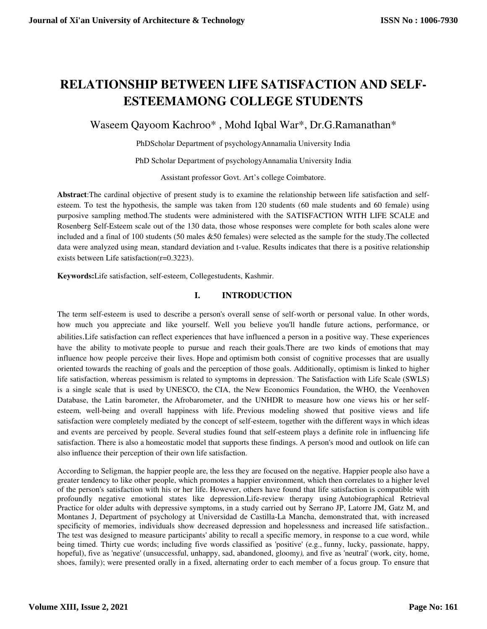# **RELATIONSHIP BETWEEN LIFE SATISFACTION AND SELF-ESTEEMAMONG COLLEGE STUDENTS**

Waseem Qayoom Kachroo\* , Mohd Iqbal War\*, Dr.G.Ramanathan\*

PhDScholar Department of psychologyAnnamalia University India

PhD Scholar Department of psychologyAnnamalia University India

Assistant professor Govt. Art's college Coimbatore.

**Abstract**:The cardinal objective of present study is to examine the relationship between life satisfaction and selfesteem. To test the hypothesis, the sample was taken from 120 students (60 male students and 60 female) using purposive sampling method.The students were administered with the SATISFACTION WITH LIFE SCALE and Rosenberg Self-Esteem scale out of the 130 data, those whose responses were complete for both scales alone were included and a final of 100 students (50 males &50 females) were selected as the sample for the study.The collected data were analyzed using mean, standard deviation and t-value. Results indicates that there is a positive relationship exists between Life satisfaction(r=0.3223).

**Keywords:**Life satisfaction, self-esteem, Collegestudents, Kashmir.

#### **I. INTRODUCTION**

The term self-esteem is used to describe a person's overall sense of self-worth or personal value. In other words, how much you appreciate and like yourself. Well you believe you'll handle future actions, performance, or abilities.Life satisfaction can reflect experiences that have influenced a person in a positive way. These experiences have the ability to motivate people to pursue and reach their goals.There are two kinds of emotions that may influence how people perceive their lives. Hope and optimism both consist of cognitive processes that are usually oriented towards the reaching of goals and the perception of those goals. Additionally, optimism is linked to higher life satisfaction, whereas pessimism is related to symptoms in depression.. The Satisfaction with Life Scale (SWLS) is a single scale that is used by UNESCO, the CIA, the New Economics Foundation, the WHO, the Veenhoven Database, the Latin barometer, the Afrobarometer, and the UNHDR to measure how one views his or her selfesteem, well-being and overall happiness with life. Previous modeling showed that positive views and life satisfaction were completely mediated by the concept of self-esteem, together with the different ways in which ideas and events are perceived by people. Several studies found that self-esteem plays a definite role in influencing life satisfaction. There is also a homeostatic model that supports these findings. A person's mood and outlook on life can also influence their perception of their own life satisfaction.

According to Seligman, the happier people are, the less they are focused on the negative. Happier people also have a greater tendency to like other people, which promotes a happier environment, which then correlates to a higher level of the person's satisfaction with his or her life. However, others have found that life satisfaction is compatible with profoundly negative emotional states like depression.Life-review therapy using Autobiographical Retrieval Practice for older adults with depressive symptoms, in a study carried out by Serrano JP, Latorre JM, Gatz M, and Montanes J, Department of psychology at Universidad de Castilla-La Mancha, demonstrated that, with increased specificity of memories, individuals show decreased depression and hopelessness and increased life satisfaction.. The test was designed to measure participants' ability to recall a specific memory, in response to a cue word, while being timed. Thirty cue words; including five words classified as 'positive' (e.g., funny, lucky, passionate, happy, hopeful), five as 'negative' (unsuccessful, unhappy, sad, abandoned, gloomy*),* and five as 'neutral' (work, city, home, shoes, family); were presented orally in a fixed, alternating order to each member of a focus group. To ensure that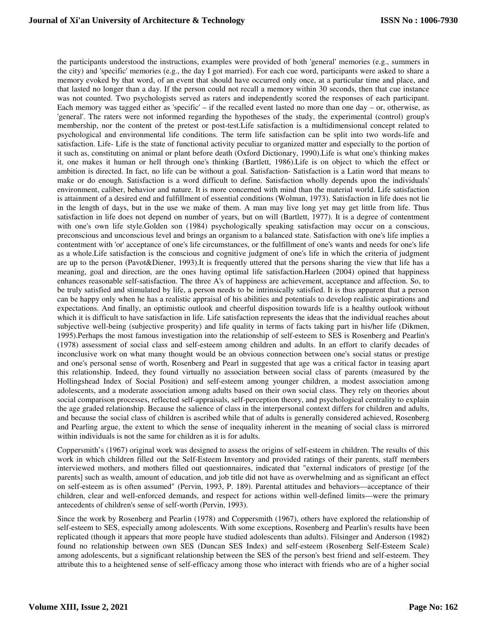the participants understood the instructions, examples were provided of both 'general' memories (e.g., summers in the city) and 'specific' memories (e.g., the day I got married). For each cue word, participants were asked to share a memory evoked by that word, of an event that should have occurred only once, at a particular time and place, and that lasted no longer than a day. If the person could not recall a memory within 30 seconds, then that cue instance was not counted. Two psychologists served as raters and independently scored the responses of each participant. Each memory was tagged either as 'specific' – if the recalled event lasted no more than one day – or, otherwise, as 'general'. The raters were not informed regarding the hypotheses of the study, the experimental (control) group's membership, nor the content of the pretest or post-test.Life satisfaction is a multidimensional concept related to psychological and environmental life conditions. The term life satisfaction can be split into two words-life and satisfaction. Life- Life is the state of functional activity peculiar to organized matter and especially to the portion of it such as, constituting on animal or plant before death (Oxford Dictionary, 1990).Life is what one's thinking makes it, one makes it human or hell through one's thinking (Bartlett, 1986).Life is on object to which the effect or ambition is directed. In fact, no life can be without a goal. Satisfaction- Satisfaction is a Latin word that means to make or do enough. Satisfaction is a word difficult to define. Satisfaction wholly depends upon the individuals' environment, caliber, behavior and nature. It is more concerned with mind than the material world. Life satisfaction is attainment of a desired end and fulfillment of essential conditions (Wolman, 1973). Satisfaction in life does not lie in the length of days, but in the use we make of them. A man may live long yet may get little from life. Thus satisfaction in life does not depend on number of years, but on will (Bartlett, 1977). It is a degree of contentment with one's own life style.Golden son (1984) psychologically speaking satisfaction may occur on a conscious, preconscious and unconscious level and brings an organism to a balanced state. Satisfaction with one's life implies a contentment with 'or' acceptance of one's life circumstances, or the fulfillment of one's wants and needs for one's life as a whole.Life satisfaction is the conscious and cognitive judgment of one's life in which the criteria of judgment are up to the person (Pavot&Diener, 1993).It is frequently uttered that the persons sharing the view that life has a meaning, goal and direction, are the ones having optimal life satisfaction.Harleen (2004) opined that happiness enhances reasonable self-satisfaction. The three A's of happiness are achievement, acceptance and affection. So, to be truly satisfied and stimulated by life, a person needs to be intrinsically satisfied. It is thus apparent that a person can be happy only when he has a realistic appraisal of his abilities and potentials to develop realistic aspirations and expectations. And finally, an optimistic outlook and cheerful disposition towards life is a healthy outlook without which it is difficult to have satisfaction in life. Life satisfaction represents the ideas that the individual reaches about subjective well-being (subjective prosperity) and life quality in terms of facts taking part in his/her life (Dikmen, 1995).Perhaps the most famous investigation into the relationship of self-esteem to SES is Rosenberg and Pearlin's (1978) assessment of social class and self-esteem among children and adults. In an effort to clarify decades of inconclusive work on what many thought would be an obvious connection between one's social status or prestige and one's personal sense of worth, Rosenberg and Pearl in suggested that age was a critical factor in teasing apart this relationship. Indeed, they found virtually no association between social class of parents (measured by the Hollingshead Index of Social Position) and self-esteem among younger children, a modest association among adolescents, and a moderate association among adults based on their own social class. They rely on theories about social comparison processes, reflected self-appraisals, self-perception theory, and psychological centrality to explain the age graded relationship. Because the salience of class in the interpersonal context differs for children and adults, and because the social class of children is ascribed while that of adults is generally considered achieved, Rosenberg and Pearling argue, the extent to which the sense of inequality inherent in the meaning of social class is mirrored within individuals is not the same for children as it is for adults.

Coppersmith's (1967) original work was designed to assess the origins of self-esteem in children. The results of this work in which children filled out the Self-Esteem Inventory and provided ratings of their parents, staff members interviewed mothers, and mothers filled out questionnaires, indicated that "external indicators of prestige [of the parents] such as wealth, amount of education, and job title did not have as overwhelming and as significant an effect on self-esteem as is often assumed" (Pervin, 1993, P. 189). Parental attitudes and behaviors—acceptance of their children, clear and well-enforced demands, and respect for actions within well-defined limits—were the primary antecedents of children's sense of self-worth (Pervin, 1993).

Since the work by Rosenberg and Pearlin (1978) and Coppersmith (1967), others have explored the relationship of self-esteem to SES, especially among adolescents. With some exceptions, Rosenberg and Pearlin's results have been replicated (though it appears that more people have studied adolescents than adults). Filsinger and Anderson (1982) found no relationship between own SES (Duncan SES Index) and self-esteem (Rosenberg Self-Esteem Scale) among adolescents, but a significant relationship between the SES of the person's best friend and self-esteem. They attribute this to a heightened sense of self-efficacy among those who interact with friends who are of a higher social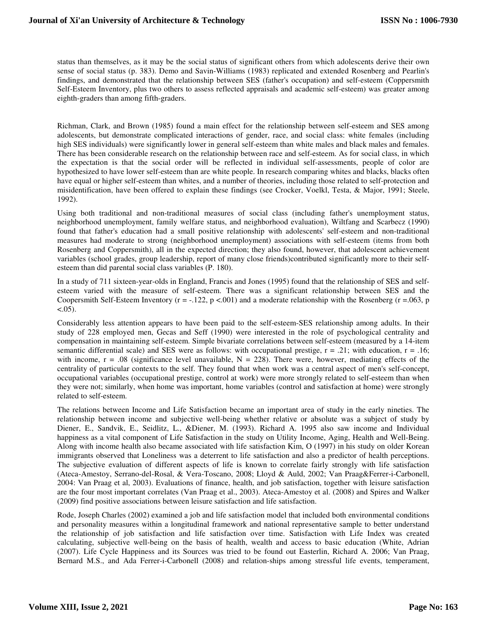status than themselves, as it may be the social status of significant others from which adolescents derive their own sense of social status (p. 383). Demo and Savin-Williams (1983) replicated and extended Rosenberg and Pearlin's findings, and demonstrated that the relationship between SES (father's occupation) and self-esteem (Coppersmith Self-Esteem Inventory, plus two others to assess reflected appraisals and academic self-esteem) was greater among eighth-graders than among fifth-graders.

Richman, Clark, and Brown (1985) found a main effect for the relationship between self-esteem and SES among adolescents, but demonstrate complicated interactions of gender, race, and social class: white females (including high SES individuals) were significantly lower in general self-esteem than white males and black males and females. There has been considerable research on the relationship between race and self-esteem. As for social class, in which the expectation is that the social order will be reflected in individual self-assessments, people of color are hypothesized to have lower self-esteem than are white people. In research comparing whites and blacks, blacks often have equal or higher self-esteem than whites, and a number of theories, including those related to self-protection and misidentification, have been offered to explain these findings (see Crocker, Voelkl, Testa, & Major, 1991; Steele, 1992).

Using both traditional and non-traditional measures of social class (including father's unemployment status, neighborhood unemployment, family welfare status, and neighborhood evaluation), Wiltfang and Scarbecz (1990) found that father's education had a small positive relationship with adolescents' self-esteem and non-traditional measures had moderate to strong (neighborhood unemployment) associations with self-esteem (items from both Rosenberg and Coppersmith), all in the expected direction; they also found, however, that adolescent achievement variables (school grades, group leadership, report of many close friends)contributed significantly more to their selfesteem than did parental social class variables (P. 180).

In a study of 711 sixteen-year-olds in England, Francis and Jones (1995) found that the relationship of SES and selfesteem varied with the measure of self-esteem. There was a significant relationship between SES and the Coopersmith Self-Esteem Inventory ( $r = -122$ ,  $p < .001$ ) and a moderate relationship with the Rosenberg ( $r = .063$ , p  $< .05)$ .

Considerably less attention appears to have been paid to the self-esteem-SES relationship among adults. In their study of 228 employed men, Gecas and Seff (1990) were interested in the role of psychological centrality and compensation in maintaining self-esteem. Simple bivariate correlations between self-esteem (measured by a 14-item semantic differential scale) and SES were as follows: with occupational prestige,  $r = .21$ ; with education,  $r = .16$ ; with income,  $r = .08$  (significance level unavailable,  $N = 228$ ). There were, however, mediating effects of the centrality of particular contexts to the self. They found that when work was a central aspect of men's self-concept, occupational variables (occupational prestige, control at work) were more strongly related to self-esteem than when they were not; similarly, when home was important, home variables (control and satisfaction at home) were strongly related to self-esteem.

The relations between Income and Life Satisfaction became an important area of study in the early nineties. The relationship between income and subjective well-being whether relative or absolute was a subject of study by Diener, E., Sandvik, E., Seidlitz, L., &Diener, M. (1993). Richard A. 1995 also saw income and Individual happiness as a vital component of Life Satisfaction in the study on Utility Income, Aging, Health and Well-Being. Along with income health also became associated with life satisfaction Kim, O (1997) in his study on older Korean immigrants observed that Loneliness was a deterrent to life satisfaction and also a predictor of health perceptions. The subjective evaluation of different aspects of life is known to correlate fairly strongly with life satisfaction (Ateca-Amestoy, Serrano-del-Rosal, & Vera-Toscano, 2008; Lloyd & Auld, 2002; Van Praag&Ferrer-i-Carbonell, 2004: Van Praag et al, 2003). Evaluations of finance, health, and job satisfaction, together with leisure satisfaction are the four most important correlates (Van Praag et al., 2003). Ateca-Amestoy et al. (2008) and Spires and Walker (2009) find positive associations between leisure satisfaction and life satisfaction.

Rode, Joseph Charles (2002) examined a job and life satisfaction model that included both environmental conditions and personality measures within a longitudinal framework and national representative sample to better understand the relationship of job satisfaction and life satisfaction over time. Satisfaction with Life Index was created calculating, subjective well-being on the basis of health, wealth and access to basic education (White, Adrian (2007). Life Cycle Happiness and its Sources was tried to be found out Easterlin, Richard A. 2006; Van Praag, Bernard M.S., and Ada Ferrer-i-Carbonell (2008) and relation-ships among stressful life events, temperament,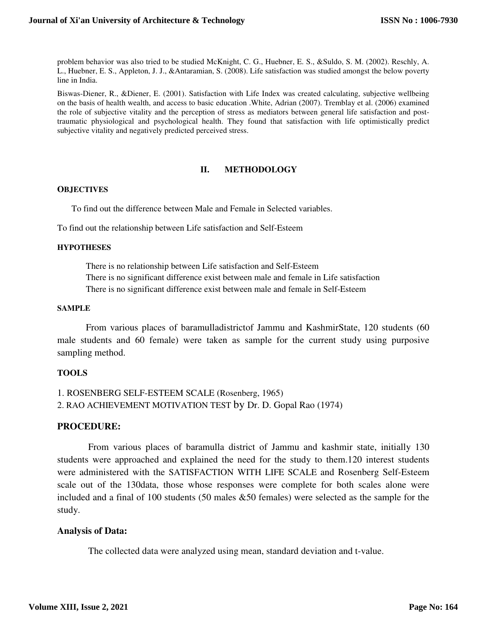problem behavior was also tried to be studied McKnight, C. G., Huebner, E. S., &Suldo, S. M. (2002). Reschly, A. L., Huebner, E. S., Appleton, J. J., &Antaramian, S. (2008). Life satisfaction was studied amongst the below poverty line in India.

Biswas-Diener, R., &Diener, E. (2001). Satisfaction with Life Index was created calculating, subjective wellbeing on the basis of health wealth, and access to basic education .White, Adrian (2007). Tremblay et al. (2006) examined the role of subjective vitality and the perception of stress as mediators between general life satisfaction and posttraumatic physiological and psychological health. They found that satisfaction with life optimistically predict subjective vitality and negatively predicted perceived stress.

# **II. METHODOLOGY**

#### **OBJECTIVES**

To find out the difference between Male and Female in Selected variables.

To find out the relationship between Life satisfaction and Self-Esteem

#### **HYPOTHESES**

There is no relationship between Life satisfaction and Self-Esteem There is no significant difference exist between male and female in Life satisfaction There is no significant difference exist between male and female in Self-Esteem

#### **SAMPLE**

 From various places of baramulladistrictof Jammu and KashmirState, 120 students (60 male students and 60 female) were taken as sample for the current study using purposive sampling method.

# **TOOLS**

```
1. ROSENBERG SELF-ESTEEM SCALE (Rosenberg, 1965) 
2. RAO ACHIEVEMENT MOTIVATION TEST by Dr. D. Gopal Rao (1974)
```
# **PROCEDURE:**

 From various places of baramulla district of Jammu and kashmir state, initially 130 students were approached and explained the need for the study to them.120 interest students were administered with the SATISFACTION WITH LIFE SCALE and Rosenberg Self-Esteem scale out of the 130data, those whose responses were complete for both scales alone were included and a final of 100 students (50 males &50 females) were selected as the sample for the study.

# **Analysis of Data:**

The collected data were analyzed using mean, standard deviation and t-value.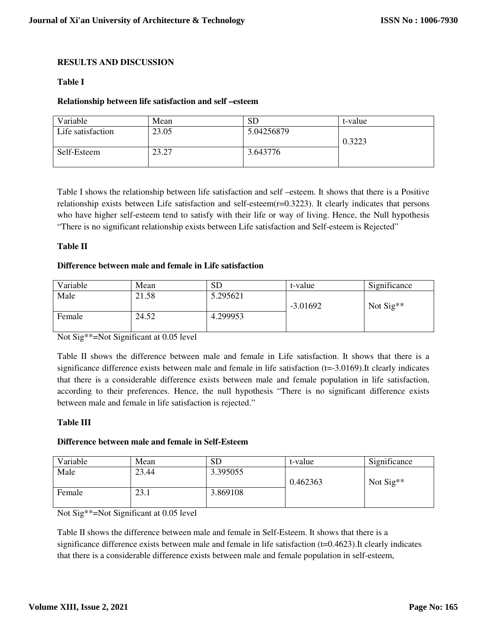# **RESULTS AND DISCUSSION**

# **Table I**

#### **Relationship between life satisfaction and self –esteem**

| Variable          | Mean  | SГ         | t-value |
|-------------------|-------|------------|---------|
| Life satisfaction | 23.05 | 5.04256879 | 0.3223  |
| Self-Esteem       | 23.27 | 3.643776   |         |

Table I shows the relationship between life satisfaction and self –esteem. It shows that there is a Positive relationship exists between Life satisfaction and self-esteem(r=0.3223). It clearly indicates that persons who have higher self-esteem tend to satisfy with their life or way of living. Hence, the Null hypothesis "There is no significant relationship exists between Life satisfaction and Self-esteem is Rejected"

#### **Table II**

#### **Difference between male and female in Life satisfaction**

| Variable | Mean  | SD       | t-value    | Significance          |
|----------|-------|----------|------------|-----------------------|
| Male     | 21.58 | 5.295621 | $-3.01692$ | Not $\text{Sig}^{**}$ |
| Female   | 24.52 | 4.299953 |            |                       |

Not Sig\*\*=Not Significant at 0.05 level

Table II shows the difference between male and female in Life satisfaction. It shows that there is a significance difference exists between male and female in life satisfaction  $(t=-3.0169)$ . It clearly indicates that there is a considerable difference exists between male and female population in life satisfaction, according to their preferences. Hence, the null hypothesis "There is no significant difference exists between male and female in life satisfaction is rejected."

# **Table III**

# **Difference between male and female in Self-Esteem**

| Variable | Mean  | SD       | t-value  | Significance          |
|----------|-------|----------|----------|-----------------------|
| Male     | 23.44 | 3.395055 | 0.462363 | Not $\text{Sig}^{**}$ |
| Female   | 23.1  | 3.869108 |          |                       |

Not Sig\*\*=Not Significant at 0.05 level

Table II shows the difference between male and female in Self-Esteem. It shows that there is a significance difference exists between male and female in life satisfaction (t=0.4623).It clearly indicates that there is a considerable difference exists between male and female population in self-esteem,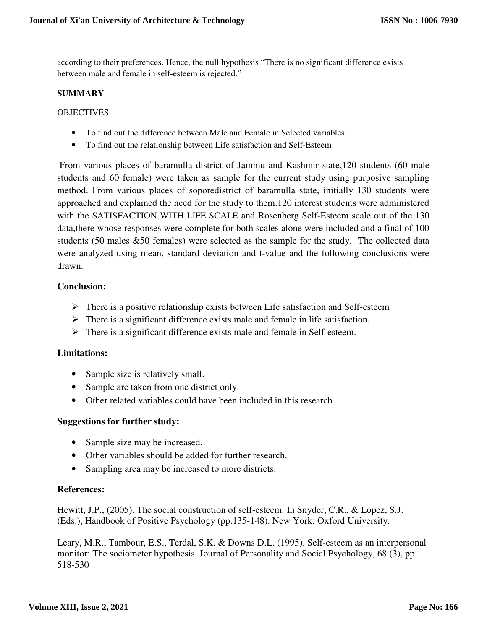according to their preferences. Hence, the null hypothesis "There is no significant difference exists between male and female in self-esteem is rejected."

# **SUMMARY**

# OBJECTIVES

- To find out the difference between Male and Female in Selected variables.
- To find out the relationship between Life satisfaction and Self-Esteem

 From various places of baramulla district of Jammu and Kashmir state,120 students (60 male students and 60 female) were taken as sample for the current study using purposive sampling method. From various places of soporedistrict of baramulla state, initially 130 students were approached and explained the need for the study to them.120 interest students were administered with the SATISFACTION WITH LIFE SCALE and Rosenberg Self-Esteem scale out of the 130 data,there whose responses were complete for both scales alone were included and a final of 100 students (50 males &50 females) were selected as the sample for the study. The collected data were analyzed using mean, standard deviation and t-value and the following conclusions were drawn.

# **Conclusion:**

- $\triangleright$  There is a positive relationship exists between Life satisfaction and Self-esteem
- $\triangleright$  There is a significant difference exists male and female in life satisfaction.
- $\triangleright$  There is a significant difference exists male and female in Self-esteem.

# **Limitations:**

- Sample size is relatively small.
- Sample are taken from one district only.
- Other related variables could have been included in this research

# **Suggestions for further study:**

- Sample size may be increased.
- Other variables should be added for further research.
- Sampling area may be increased to more districts.

# **References:**

Hewitt, J.P., (2005). The social construction of self-esteem. In Snyder, C.R., & Lopez, S.J. (Eds.), Handbook of Positive Psychology (pp.135-148). New York: Oxford University.

Leary, M.R., Tambour, E.S., Terdal, S.K. & Downs D.L. (1995). Self-esteem as an interpersonal monitor: The sociometer hypothesis. Journal of Personality and Social Psychology, 68 (3), pp. 518-530